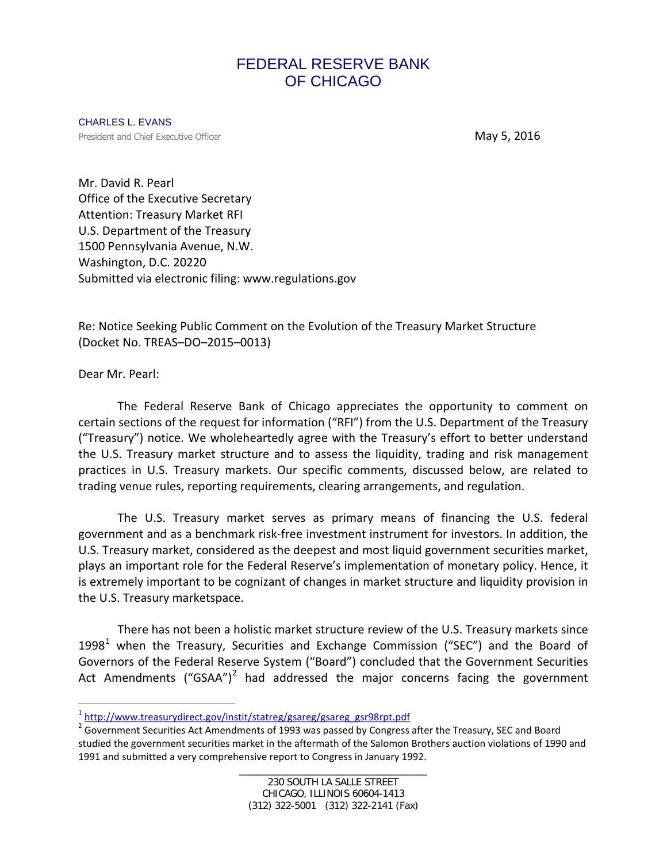# FEDERAL RESERVE BANK OF CHICAGO

CHARLES L. EVANS **President and Chief Executive Officer May 5, 2016** 

Mr. David R. Pearl Office of the Executive Secretary Attention: Treasury Market RFI U.S. Department of the Treasury 1500 Pennsylvania Avenue, N.W. Washington, D.C. 20220 Submitted via electronic filing: www.regulations.gov

Re: Notice Seeking Public Comment on the Evolution of the Treasury Market Structure (Docket No. TREAS–DO–2015–0013)

Dear Mr. Pearl:

The Federal Reserve Bank of Chicago appreciates the opportunity to comment on certain sections of the request for information ("RFI") from the U.S. Department of the Treasury ("Treasury") notice. We wholeheartedly agree with the Treasury's effort to better understand the U.S. Treasury market structure and to assess the liquidity, trading and risk management practices in U.S. Treasury markets. Our specific comments, discussed below, are related to trading venue rules, reporting requirements, clearing arrangements, and regulation.

The U.S. Treasury market serves as primary means of financing the U.S. federal government and as a benchmark risk-free investment instrument for investors. In addition, the U.S. Treasury market, considered as the deepest and most liquid government securities market, plays an important role for the Federal Reserve's implementation of monetary policy. Hence, it is extremely important to be cognizant of changes in market structure and liquidity provision in the U.S. Treasury marketspace.

There has not been a holistic market structure review of the U.S. Treasury markets since [1](#page-0-0)998<sup>1</sup> when the Treasury, Securities and Exchange Commission ("SEC") and the Board of Governors of the Federal Reserve System ("Board") concluded that the Government Securities Act Amendments ("GSAA")<sup>[2](#page-0-1)</sup> had addressed the major concerns facing the government

<span id="page-0-0"></span><sup>1</sup> [http://www.treasurydirect.gov/instit/statreg/gsareg/gsareg\\_gsr98rpt.pdf](http://www.treasurydirect.gov/instit/statreg/gsareg/gsareg_gsr98rpt.pdf)

<span id="page-0-1"></span> $2^{2}$  Government Securities Act Amendments of 1993 was passed by Congress after the Treasury, SEC and Board studied the government securities market in the aftermath of the Salomon Brothers auction violations of 1990 and 1991 and submitted a very comprehensive report to Congress in January 1992.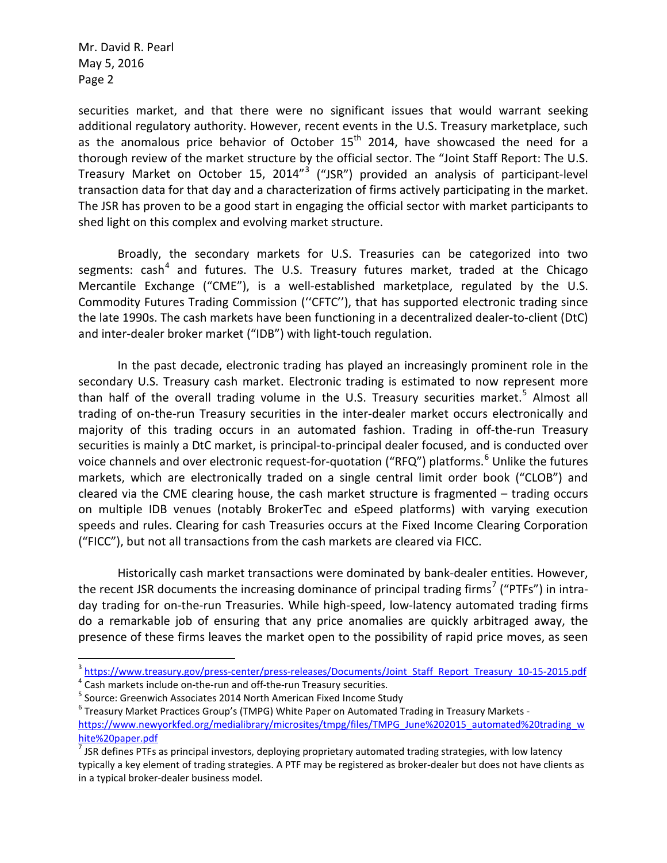securities market, and that there were no significant issues that would warrant seeking additional regulatory authority. However, recent events in the U.S. Treasury marketplace, such as the anomalous price behavior of October  $15<sup>th</sup>$  2014, have showcased the need for a thorough review of the market structure by the official sector. The "Joint Staff Report: The U.S. Treasury Market on October 15, 2014<sup>"[3](#page-1-0)</sup> ("JSR") provided an analysis of participant-level transaction data for that day and a characterization of firms actively participating in the market. The JSR has proven to be a good start in engaging the official sector with market participants to shed light on this complex and evolving market structure.

Broadly, the secondary markets for U.S. Treasuries can be categorized into two segments:  $\cosh^4$  $\cosh^4$  and futures. The U.S. Treasury futures market, traded at the Chicago Mercantile Exchange ("CME"), is a well-established marketplace, regulated by the U.S. Commodity Futures Trading Commission (''CFTC''), that has supported electronic trading since the late 1990s. The cash markets have been functioning in a decentralized dealer-to-client (DtC) and inter-dealer broker market ("IDB") with light-touch regulation.

In the past decade, electronic trading has played an increasingly prominent role in the secondary U.S. Treasury cash market. Electronic trading is estimated to now represent more than half of the overall trading volume in the U.S. Treasury securities market.<sup>[5](#page-1-2)</sup> Almost all trading of on-the-run Treasury securities in the inter-dealer market occurs electronically and majority of this trading occurs in an automated fashion. Trading in off-the-run Treasury securities is mainly a DtC market, is principal-to-principal dealer focused, and is conducted over voice channels and over electronic request-for-quotation ("RFQ") platforms.<sup>[6](#page-1-3)</sup> Unlike the futures markets, which are electronically traded on a single central limit order book ("CLOB") and cleared via the CME clearing house, the cash market structure is fragmented – trading occurs on multiple IDB venues (notably BrokerTec and eSpeed platforms) with varying execution speeds and rules. Clearing for cash Treasuries occurs at the Fixed Income Clearing Corporation ("FICC"), but not all transactions from the cash markets are cleared via FICC.

Historically cash market transactions were dominated by bank-dealer entities. However, the recent JSR documents the increasing dominance of principal trading firms<sup>[7](#page-1-4)</sup> ("PTFs") in intraday trading for on-the-run Treasuries. While high-speed, low-latency automated trading firms do a remarkable job of ensuring that any price anomalies are quickly arbitraged away, the presence of these firms leaves the market open to the possibility of rapid price moves, as seen

<span id="page-1-0"></span> $\frac{3}{4}$  https://www.treasury.gov/press-center/press-releases/Documents/Joint Staff Report Treasury 10-15-2015.pdf<br> $\frac{4}{4}$  Cash markets include on-the-run and off-the-run Treasury securities.<br>  $\frac{5}{4}$  Source: Greenwi

<span id="page-1-1"></span>

<span id="page-1-2"></span>

<span id="page-1-3"></span><sup>6</sup> Treasury Market Practices Group's (TMPG) White Paper on Automated Trading in Treasury Markets [https://www.newyorkfed.org/medialibrary/microsites/tmpg/files/TMPG\\_June%202015\\_automated%20trading\\_w](https://www.newyorkfed.org/medialibrary/microsites/tmpg/files/TMPG_June%202015_automated%20trading_white%20paper.pdf) [hite%20paper.pdf](https://www.newyorkfed.org/medialibrary/microsites/tmpg/files/TMPG_June%202015_automated%20trading_white%20paper.pdf)

<span id="page-1-4"></span> $<sup>7</sup>$  JSR defines PTFs as principal investors, deploying proprietary automated trading strategies, with low latency</sup> typically a key element of trading strategies. A PTF may be registered as broker-dealer but does not have clients as in a typical broker-dealer business model.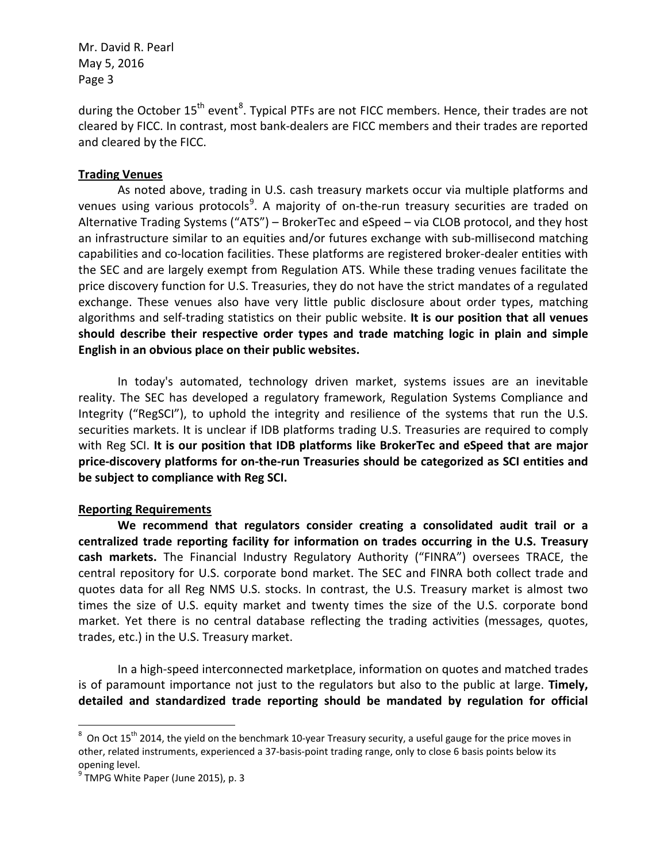during the October 15<sup>th</sup> event<sup>[8](#page-2-0)</sup>. Typical PTFs are not FICC members. Hence, their trades are not cleared by FICC. In contrast, most bank-dealers are FICC members and their trades are reported and cleared by the FICC.

## **Trading Venues**

As noted above, trading in U.S. cash treasury markets occur via multiple platforms and venues using various protocols<sup>[9](#page-2-1)</sup>. A majority of on-the-run treasury securities are traded on Alternative Trading Systems ("ATS") – BrokerTec and eSpeed – via CLOB protocol, and they host an infrastructure similar to an equities and/or futures exchange with sub-millisecond matching capabilities and co-location facilities. These platforms are registered broker-dealer entities with the SEC and are largely exempt from Regulation ATS. While these trading venues facilitate the price discovery function for U.S. Treasuries, they do not have the strict mandates of a regulated exchange. These venues also have very little public disclosure about order types, matching algorithms and self-trading statistics on their public website. **It is our position that all venues should describe their respective order types and trade matching logic in plain and simple English in an obvious place on their public websites.**

In today's automated, technology driven market, systems issues are an inevitable reality. The SEC has developed a regulatory framework, Regulation Systems Compliance and Integrity ("RegSCI"), to uphold the integrity and resilience of the systems that run the U.S. securities markets. It is unclear if IDB platforms trading U.S. Treasuries are required to comply with Reg SCI. **It is our position that IDB platforms like BrokerTec and eSpeed that are major price-discovery platforms for on-the-run Treasuries should be categorized as SCI entities and be subject to compliance with Reg SCI.**

## **Reporting Requirements**

**We recommend that regulators consider creating a consolidated audit trail or a centralized trade reporting facility for information on trades occurring in the U.S. Treasury cash markets.** The Financial Industry Regulatory Authority ("FINRA") oversees TRACE, the central repository for U.S. corporate bond market. The SEC and FINRA both collect trade and quotes data for all Reg NMS U.S. stocks. In contrast, the U.S. Treasury market is almost two times the size of U.S. equity market and twenty times the size of the U.S. corporate bond market. Yet there is no central database reflecting the trading activities (messages, quotes, trades, etc.) in the U.S. Treasury market.

In a high-speed interconnected marketplace, information on quotes and matched trades is of paramount importance not just to the regulators but also to the public at large. **Timely, detailed and standardized trade reporting should be mandated by regulation for official** 

<span id="page-2-0"></span> $\frac{1}{8}$  $8$  On Oct 15<sup>th</sup> 2014, the yield on the benchmark 10-year Treasury security, a useful gauge for the price moves in other, related instruments, experienced a 37-basis-point trading range, only to close 6 basis points below its opening level.

<span id="page-2-1"></span> $<sup>9</sup>$  TMPG White Paper (June 2015), p. 3</sup>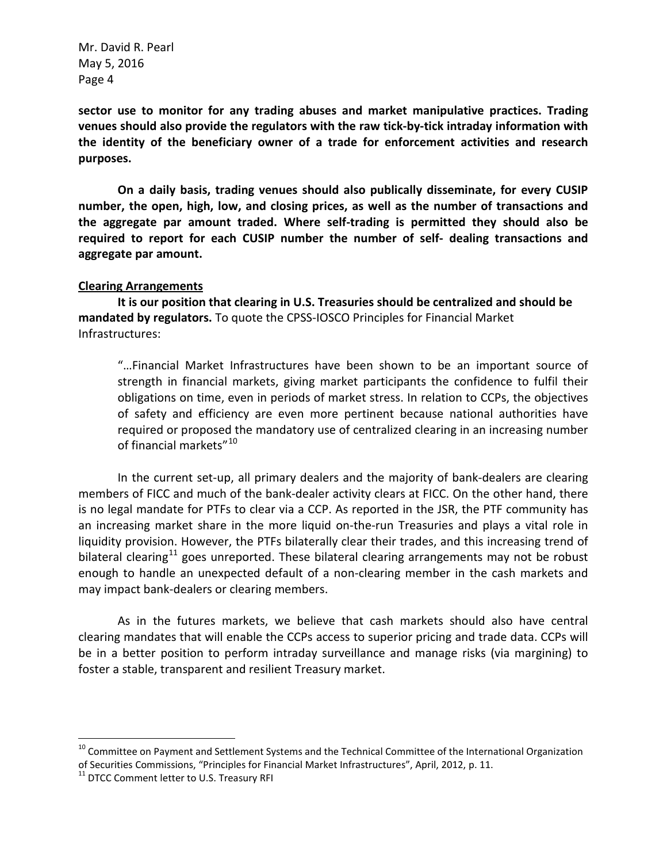**sector use to monitor for any trading abuses and market manipulative practices. Trading venues should also provide the regulators with the raw tick-by-tick intraday information with the identity of the beneficiary owner of a trade for enforcement activities and research purposes.**

**On a daily basis, trading venues should also publically disseminate, for every CUSIP number, the open, high, low, and closing prices, as well as the number of transactions and the aggregate par amount traded. Where self-trading is permitted they should also be required to report for each CUSIP number the number of self- dealing transactions and aggregate par amount.**

#### **Clearing Arrangements**

**It is our position that clearing in U.S. Treasuries should be centralized and should be mandated by regulators.** To quote the CPSS-IOSCO Principles for Financial Market Infrastructures:

"…Financial Market Infrastructures have been shown to be an important source of strength in financial markets, giving market participants the confidence to fulfil their obligations on time, even in periods of market stress. In relation to CCPs, the objectives of safety and efficiency are even more pertinent because national authorities have required or proposed the mandatory use of centralized clearing in an increasing number of financial markets"<sup>[10](#page-3-0)</sup>

In the current set-up, all primary dealers and the majority of bank-dealers are clearing members of FICC and much of the bank-dealer activity clears at FICC. On the other hand, there is no legal mandate for PTFs to clear via a CCP. As reported in the JSR, the PTF community has an increasing market share in the more liquid on-the-run Treasuries and plays a vital role in liquidity provision. However, the PTFs bilaterally clear their trades, and this increasing trend of bilateral clearing<sup>[11](#page-3-1)</sup> goes unreported. These bilateral clearing arrangements may not be robust enough to handle an unexpected default of a non-clearing member in the cash markets and may impact bank-dealers or clearing members.

As in the futures markets, we believe that cash markets should also have central clearing mandates that will enable the CCPs access to superior pricing and trade data. CCPs will be in a better position to perform intraday surveillance and manage risks (via margining) to foster a stable, transparent and resilient Treasury market.

<span id="page-3-0"></span><sup>&</sup>lt;sup>10</sup> Committee on Payment and Settlement Systems and the Technical Committee of the International Organization of Securities Commissions, "Principles for Financial Market Infrastructures", April, 2012, p. 11.

<span id="page-3-1"></span><sup>&</sup>lt;sup>11</sup> DTCC Comment letter to U.S. Treasury RFI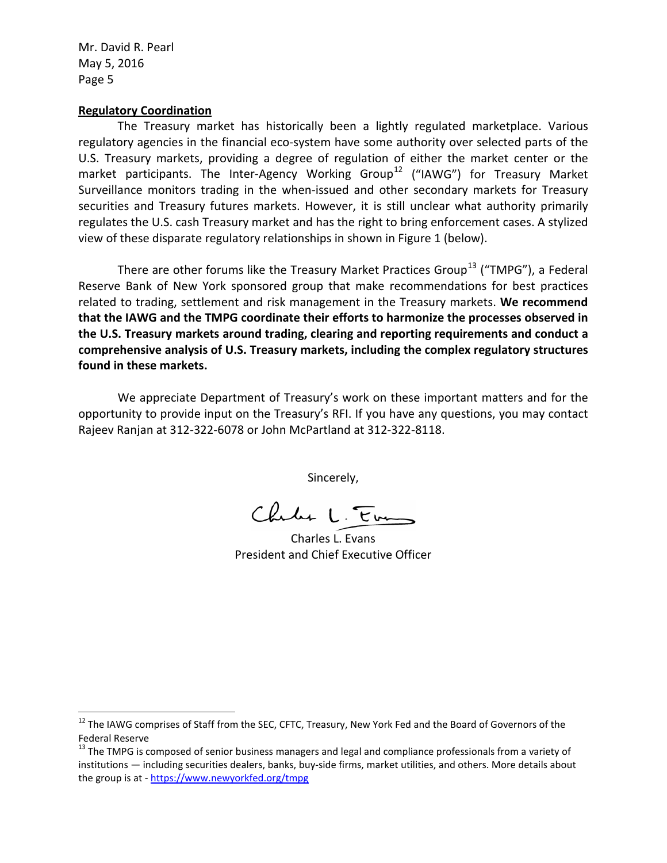#### **Regulatory Coordination**

The Treasury market has historically been a lightly regulated marketplace. Various regulatory agencies in the financial eco-system have some authority over selected parts of the U.S. Treasury markets, providing a degree of regulation of either the market center or the market participants. The Inter-Agency Working Group<sup>[12](#page-4-0)</sup> ("IAWG") for Treasury Market Surveillance monitors trading in the when-issued and other secondary markets for Treasury securities and Treasury futures markets. However, it is still unclear what authority primarily regulates the U.S. cash Treasury market and has the right to bring enforcement cases. A stylized view of these disparate regulatory relationships in shown in Figure 1 (below).

There are other forums like the Treasury Market Practices Group<sup>[13](#page-4-1)</sup> ("TMPG"), a Federal Reserve Bank of New York sponsored group that make recommendations for best practices related to trading, settlement and risk management in the Treasury markets. **We recommend that the IAWG and the TMPG coordinate their efforts to harmonize the processes observed in the U.S. Treasury markets around trading, clearing and reporting requirements and conduct a comprehensive analysis of U.S. Treasury markets, including the complex regulatory structures found in these markets.**

We appreciate Department of Treasury's work on these important matters and for the opportunity to provide input on the Treasury's RFI. If you have any questions, you may contact Rajeev Ranjan at 312-322-6078 or John McPartland at 312-322-8118.

Sincerely,

Chales L. Em

Charles L. Evans President and Chief Executive Officer

<span id="page-4-0"></span><sup>&</sup>lt;sup>12</sup> The IAWG comprises of Staff from the SEC, CFTC, Treasury, New York Fed and the Board of Governors of the Federal Reserve

<span id="page-4-1"></span><sup>&</sup>lt;sup>13</sup> The TMPG is composed of senior business managers and legal and compliance professionals from a variety of institutions — including securities dealers, banks, buy-side firms, market utilities, and others. More details about the group is at - <https://www.newyorkfed.org/tmpg>